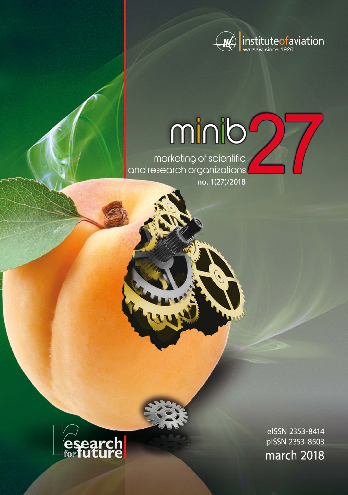

# minib

marketing of scientific<br>and research organizations no. 1(27)/2018



eISSN 2353-8414 pISSN 2353-8503 march 2018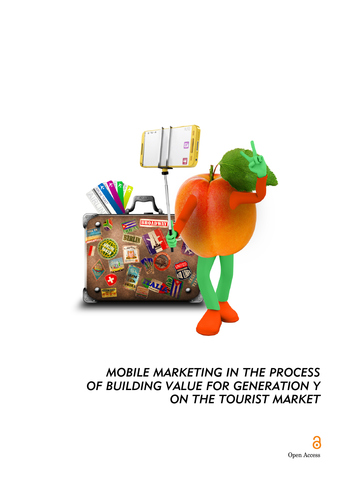

# *MOBILE MARKETING IN THE PROCESS OF BUILDING VALUE FOR GENERATION Y ON THE TOURIST MARKET*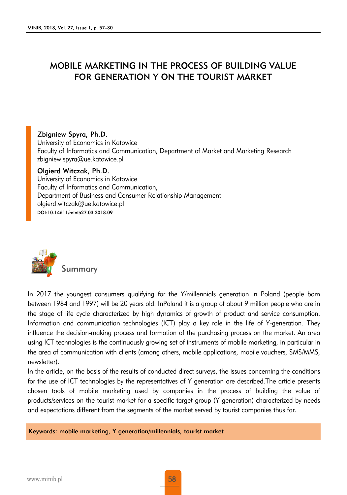# MOBILE MARKETING IN THE PROCESS OF BUILDING VALUE FOR GENERATION Y ON THE TOURIST MARKET

#### Zbigniew Spyra, Ph.D.

University of Economics in Katowice Faculty of Informatics and Communication, Department of Market and Marketing Research zbigniew.spyra@ue.katowice.pl

#### Olgierd Witczak, Ph.D.

University of Economics in Katowice Faculty of Informatics and Communication, Department of Business and Consumer Relationship Management olgierd.witczak@ue.katowice.pl DOI:10.14611/minib27.03.2018.09



In 2017 the youngest consumers qualifying for the Y/millennials generation in Poland (people born between 1984 and 1997) will be 20 years old. InPoland it is a group of about 9 million people who are in the stage of life cycle characterized by high dynamics of growth of product and service consumption. Information and communication technologies (ICT) play a key role in the life of Y-generation. They influence the decision-making process and formation of the purchasing process on the market. An area using ICT technologies is the continuously growing set of instruments of mobile marketing, in particular in the area of communication with clients (among others, mobile applications, mobile vouchers, SMS/MMS, newsletter).

In the article, on the basis of the results of conducted direct surveys, the issues concerning the conditions for the use of ICT technologies by the representatives of Y generation are described.The article presents chosen tools of mobile marketing used by companies in the process of building the value of products/services on the tourist market for a specific target group (Y generation) characterized by needs and expectations different from the segments of the market served by tourist companies thus far.

Keywords: mobile marketing, Y generation/millennials, tourist market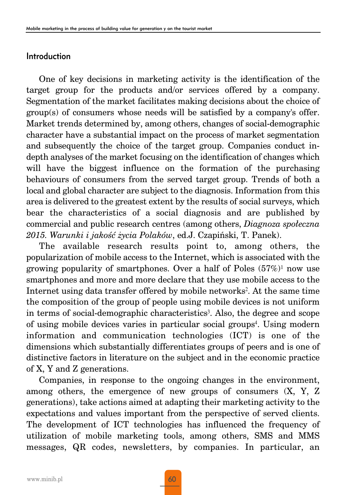#### Introduction

One of key decisions in marketing activity is the identification of the target group for the products and/or services offered by a company. Segmentation of the market facilitates making decisions about the choice of group(s) of consumers whose needs will be satisfied by a company's offer. Market trends determined by, among others, changes of social-demographic character have a substantial impact on the process of market segmentation and subsequently the choice of the target group. Companies conduct indepth analyses of the market focusing on the identification of changes which will have the biggest influence on the formation of the purchasing behaviours of consumers from the served target group. Trends of both a local and global character are subject to the diagnosis. Information from this area is delivered to the greatest extent by the results of social surveys, which bear the characteristics of a social diagnosis and are published by commercial and public research centres (among others, *Diagnoza społeczna 2015. Warunki i jakość życia Polaków*, ed.J. Czapiński, T. Panek).

The available research results point to, among others, the popularization of mobile access to the Internet, which is associated with the growing popularity of smartphones. Over a half of Poles  $(57\%)^1$  now use smartphones and more and more declare that they use mobile access to the Internet using data transfer offered by mobile networks2. At the same time the composition of the group of people using mobile devices is not uniform in terms of social-demographic characteristics<sup>3</sup>. Also, the degree and scope of using mobile devices varies in particular social groups<sup>4</sup>. Using modern information and communication technologies (ICT) is one of the dimensions which substantially differentiates groups of peers and is one of distinctive factors in literature on the subject and in the economic practice of X, Y and Z generations.

Companies, in response to the ongoing changes in the environment, among others, the emergence of new groups of consumers (X, Y, Z generations), take actions aimed at adapting their marketing activity to the expectations and values important from the perspective of served clients. The development of ICT technologies has influenced the frequency of utilization of mobile marketing tools, among others, SMS and MMS messages, QR codes, newsletters, by companies. In particular, an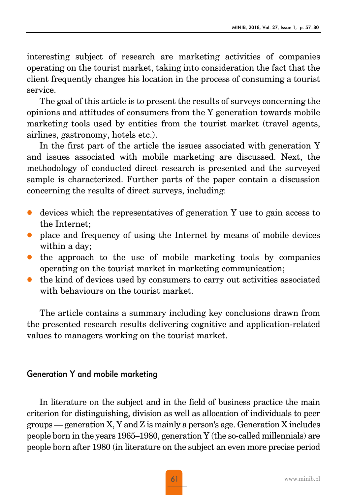interesting subject of research are marketing activities of companies operating on the tourist market, taking into consideration the fact that the client frequently changes his location in the process of consuming a tourist service.

The goal of this article is to present the results of surveys concerning the opinions and attitudes of consumers from the Y generation towards mobile marketing tools used by entities from the tourist market (travel agents, airlines, gastronomy, hotels etc.).

In the first part of the article the issues associated with generation Y and issues associated with mobile marketing are discussed. Next, the methodology of conducted direct research is presented and the surveyed sample is characterized. Further parts of the paper contain a discussion concerning the results of direct surveys, including:

- z devices which the representatives of generation Y use to gain access to the Internet;
- place and frequency of using the Internet by means of mobile devices within a day;
- the approach to the use of mobile marketing tools by companies operating on the tourist market in marketing communication;
- the kind of devices used by consumers to carry out activities associated with behaviours on the tourist market.

The article contains a summary including key conclusions drawn from the presented research results delivering cognitive and application-related values to managers working on the tourist market.

### Generation Y and mobile marketing

In literature on the subject and in the field of business practice the main criterion for distinguishing, division as well as allocation of individuals to peer groups — generation X, Y and Z is mainly a person's age. Generation X includes people born in the years 1965–1980, generation Y (the so-called millennials) are people born after 1980 (in literature on the subject an even more precise period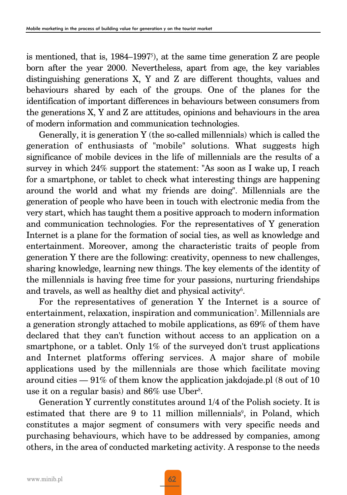is mentioned, that is,  $1984-1997<sup>5</sup>$ , at the same time generation Z are people born after the year 2000. Nevertheless, apart from age, the key variables distinguishing generations X, Y and Z are different thoughts, values and behaviours shared by each of the groups. One of the planes for the identification of important differences in behaviours between consumers from the generations X, Y and Z are attitudes, opinions and behaviours in the area of modern information and communication technologies.

Generally, it is generation Y (the so-called millennials) which is called the generation of enthusiasts of "mobile" solutions. What suggests high significance of mobile devices in the life of millennials are the results of a survey in which 24% support the statement: "As soon as I wake up, I reach for a smartphone, or tablet to check what interesting things are happening around the world and what my friends are doing". Millennials are the generation of people who have been in touch with electronic media from the very start, which has taught them a positive approach to modern information and communication technologies. For the representatives of Y generation Internet is a plane for the formation of social ties, as well as knowledge and entertainment. Moreover, among the characteristic traits of people from generation Y there are the following: creativity, openness to new challenges, sharing knowledge, learning new things. The key elements of the identity of the millennials is having free time for your passions, nurturing friendships and travels, as well as healthy diet and physical activity<sup>6</sup>.

For the representatives of generation Y the Internet is a source of entertainment, relaxation, inspiration and communication7. Millennials are a generation strongly attached to mobile applications, as 69% of them have declared that they can't function without access to an application on a smartphone, or a tablet. Only 1% of the surveyed don't trust applications and Internet platforms offering services. A major share of mobile applications used by the millennials are those which facilitate moving around cities — 91% of them know the application jakdojade.pl (8 out of 10 use it on a regular basis) and 86% use Uber<sup>8</sup>.

Generation Y currently constitutes around 1/4 of the Polish society. It is estimated that there are 9 to 11 million millennials<sup>9</sup>, in Poland, which constitutes a major segment of consumers with very specific needs and purchasing behaviours, which have to be addressed by companies, among others, in the area of conducted marketing activity. A response to the needs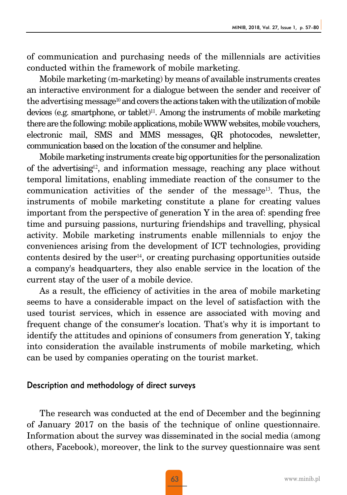of communication and purchasing needs of the millennials are activities conducted within the framework of mobile marketing.

Mobile marketing (m-marketing) by means of available instruments creates an interactive environment for a dialogue between the sender and receiver of the advertising message<sup>10</sup> and covers the actions taken with the utilization of mobile devices (e.g. smartphone, or tablet)<sup>11</sup>. Among the instruments of mobile marketing there are the following: mobile applications, mobile WWW websites, mobile vouchers, electronic mail, SMS and MMS messages, QR photocodes, newsletter, communication based on the location of the consumer and helpline.

Mobile marketing instruments create big opportunities for the personalization of the advertising<sup>12</sup>, and information message, reaching any place without temporal limitations, enabling immediate reaction of the consumer to the communication activities of the sender of the message13. Thus, the instruments of mobile marketing constitute a plane for creating values important from the perspective of generation Y in the area of: spending free time and pursuing passions, nurturing friendships and travelling, physical activity. Mobile marketing instruments enable millennials to enjoy the conveniences arising from the development of ICT technologies, providing contents desired by the user<sup>14</sup>, or creating purchasing opportunities outside a company's headquarters, they also enable service in the location of the current stay of the user of a mobile device.

As a result, the efficiency of activities in the area of mobile marketing seems to have a considerable impact on the level of satisfaction with the used tourist services, which in essence are associated with moving and frequent change of the consumer's location. That's why it is important to identify the attitudes and opinions of consumers from generation Y, taking into consideration the available instruments of mobile marketing, which can be used by companies operating on the tourist market.

#### Description and methodology of direct surveys

The research was conducted at the end of December and the beginning of January 2017 on the basis of the technique of online questionnaire. Information about the survey was disseminated in the social media (among others, Facebook), moreover, the link to the survey questionnaire was sent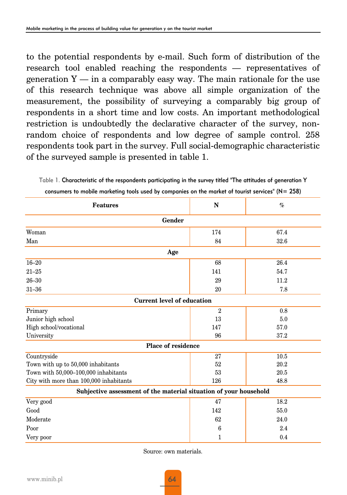to the potential respondents by e-mail. Such form of distribution of the research tool enabled reaching the respondents — representatives of generation  $Y - in a comparably easy way.$  The main rationale for the use of this research technique was above all simple organization of the measurement, the possibility of surveying a comparably big group of respondents in a short time and low costs. An important methodological restriction is undoubtedly the declarative character of the survey, nonrandom choice of respondents and low degree of sample control. 258 respondents took part in the survey. Full social-demographic characteristic of the surveyed sample is presented in table 1.

Table 1. Characteristic of the respondents participating in the survey titled "The attitudes of generation Y

| <b>Features</b>                                                   | N              | $\%$ |  |  |  |  |  |  |  |  |  |
|-------------------------------------------------------------------|----------------|------|--|--|--|--|--|--|--|--|--|
| Gender                                                            |                |      |  |  |  |  |  |  |  |  |  |
| Woman                                                             | 174            | 67.4 |  |  |  |  |  |  |  |  |  |
| Man                                                               | 84             | 32.6 |  |  |  |  |  |  |  |  |  |
| Age                                                               |                |      |  |  |  |  |  |  |  |  |  |
| $16 - 20$                                                         | 68             | 26.4 |  |  |  |  |  |  |  |  |  |
| $21 - 25$                                                         | 141            | 54.7 |  |  |  |  |  |  |  |  |  |
| $26 - 30$                                                         | 29             | 11.2 |  |  |  |  |  |  |  |  |  |
| $31 - 36$                                                         | 20             | 7.8  |  |  |  |  |  |  |  |  |  |
| <b>Current level of education</b>                                 |                |      |  |  |  |  |  |  |  |  |  |
| Primary                                                           | $\overline{2}$ | 0.8  |  |  |  |  |  |  |  |  |  |
| Junior high school                                                | 13             | 5.0  |  |  |  |  |  |  |  |  |  |
| High school/vocational                                            | 147            | 57.0 |  |  |  |  |  |  |  |  |  |
| University                                                        | 96             | 37.2 |  |  |  |  |  |  |  |  |  |
| Place of residence                                                |                |      |  |  |  |  |  |  |  |  |  |
| Countryside                                                       | 27             | 10.5 |  |  |  |  |  |  |  |  |  |
| Town with up to 50,000 inhabitants                                | 52             | 20.2 |  |  |  |  |  |  |  |  |  |
| Town with 50,000-100,000 inhabitants                              | 53             | 20.5 |  |  |  |  |  |  |  |  |  |
| City with more than 100,000 inhabitants                           | 126            | 48.8 |  |  |  |  |  |  |  |  |  |
| Subjective assessment of the material situation of your household |                |      |  |  |  |  |  |  |  |  |  |
| Very good                                                         | 47             | 18.2 |  |  |  |  |  |  |  |  |  |
| Good                                                              | 142            | 55.0 |  |  |  |  |  |  |  |  |  |
| Moderate                                                          | 62             | 24.0 |  |  |  |  |  |  |  |  |  |
| Poor                                                              | 6              | 2.4  |  |  |  |  |  |  |  |  |  |
| Very poor                                                         | 1              | 0.4  |  |  |  |  |  |  |  |  |  |

consumers to mobile marketing tools used by companies on the market of tourist services" (N= 258)

Source: own materials.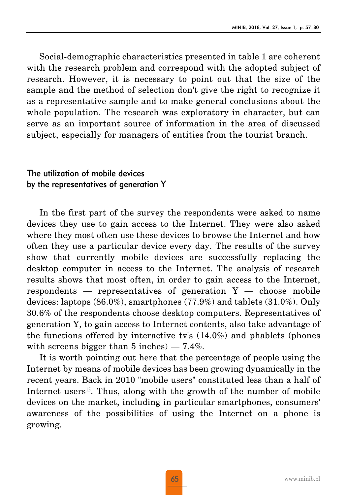Social-demographic characteristics presented in table 1 are coherent with the research problem and correspond with the adopted subject of research. However, it is necessary to point out that the size of the sample and the method of selection don't give the right to recognize it as a representative sample and to make general conclusions about the whole population. The research was exploratory in character, but can serve as an important source of information in the area of discussed subject, especially for managers of entities from the tourist branch.

# The utilization of mobile devices by the representatives of generation Y

In the first part of the survey the respondents were asked to name devices they use to gain access to the Internet. They were also asked where they most often use these devices to browse the Internet and how often they use a particular device every day. The results of the survey show that currently mobile devices are successfully replacing the desktop computer in access to the Internet. The analysis of research results shows that most often, in order to gain access to the Internet, respondents  $-$  representatives of generation  $Y -$  choose mobile devices: laptops (86.0%), smartphones (77.9%) and tablets (31.0%). Only 30.6% of the respondents choose desktop computers. Representatives of generation Y, to gain access to Internet contents, also take advantage of the functions offered by interactive tv's (14.0%) and phablets (phones with screens bigger than 5 inches)  $-7.4\%$ .

It is worth pointing out here that the percentage of people using the Internet by means of mobile devices has been growing dynamically in the recent years. Back in 2010 "mobile users" constituted less than a half of Internet users<sup>15</sup>. Thus, along with the growth of the number of mobile devices on the market, including in particular smartphones, consumers' awareness of the possibilities of using the Internet on a phone is growing.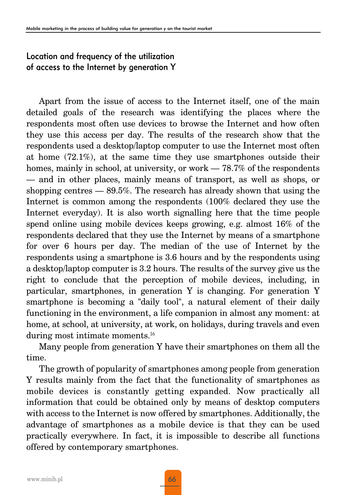#### Location and frequency of the utilization of access to the Internet by generation Y

Apart from the issue of access to the Internet itself, one of the main detailed goals of the research was identifying the places where the respondents most often use devices to browse the Internet and how often they use this access per day. The results of the research show that the respondents used a desktop/laptop computer to use the Internet most often at home (72.1%), at the same time they use smartphones outside their homes, mainly in school, at university, or work — 78.7% of the respondents — and in other places, mainly means of transport, as well as shops, or shopping centres — 89.5%. The research has already shown that using the Internet is common among the respondents (100% declared they use the Internet everyday). It is also worth signalling here that the time people spend online using mobile devices keeps growing, e.g. almost 16% of the respondents declared that they use the Internet by means of a smartphone for over 6 hours per day. The median of the use of Internet by the respondents using a smartphone is 3.6 hours and by the respondents using a desktop/laptop computer is 3.2 hours. The results of the survey give us the right to conclude that the perception of mobile devices, including, in particular, smartphones, in generation Y is changing. For generation Y smartphone is becoming a "daily tool", a natural element of their daily functioning in the environment, a life companion in almost any moment: at home, at school, at university, at work, on holidays, during travels and even during most intimate moments.<sup>16</sup>

Many people from generation Y have their smartphones on them all the time.

The growth of popularity of smartphones among people from generation Y results mainly from the fact that the functionality of smartphones as mobile devices is constantly getting expanded. Now practically all information that could be obtained only by means of desktop computers with access to the Internet is now offered by smartphones. Additionally, the advantage of smartphones as a mobile device is that they can be used practically everywhere. In fact, it is impossible to describe all functions offered by contemporary smartphones.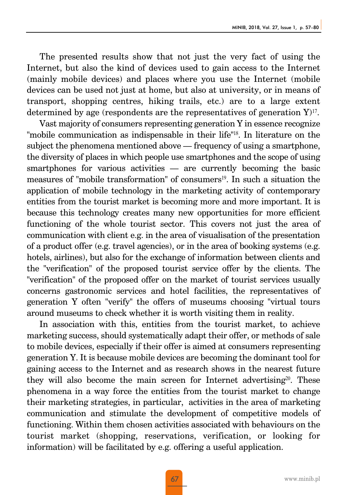The presented results show that not just the very fact of using the Internet, but also the kind of devices used to gain access to the Internet (mainly mobile devices) and places where you use the Internet (mobile devices can be used not just at home, but also at university, or in means of transport, shopping centres, hiking trails, etc.) are to a large extent determined by age (respondents are the representatives of generation  $Y$ )<sup>17</sup>.

Vast majority of consumers representing generation Y in essence recognize "mobile communication as indispensable in their life"18. In literature on the subject the phenomena mentioned above — frequency of using a smartphone, the diversity of places in which people use smartphones and the scope of using smartphones for various activities — are currently becoming the basic measures of "mobile transformation" of consumers<sup>19</sup>. In such a situation the application of mobile technology in the marketing activity of contemporary entities from the tourist market is becoming more and more important. It is because this technology creates many new opportunities for more efficient functioning of the whole tourist sector. This covers not just the area of communication with client e.g. in the area of visualisation of the presentation of a product offer (e.g. travel agencies), or in the area of booking systems (e.g. hotels, airlines), but also for the exchange of information between clients and the "verification" of the proposed tourist service offer by the clients. The "verification" of the proposed offer on the market of tourist services usually concerns gastronomic services and hotel facilities, the representatives of generation Y often "verify" the offers of museums choosing "virtual tours around museums to check whether it is worth visiting them in reality.

In association with this, entities from the tourist market, to achieve marketing success, should systematically adapt their offer, or methods of sale to mobile devices, especially if their offer is aimed at consumers representing generation Y. It is because mobile devices are becoming the dominant tool for gaining access to the Internet and as research shows in the nearest future they will also become the main screen for Internet advertising<sup>20</sup>. These phenomena in a way force the entities from the tourist market to change their marketing strategies, in particular, activities in the area of marketing communication and stimulate the development of competitive models of functioning. Within them chosen activities associated with behaviours on the tourist market (shopping, reservations, verification, or looking for information) will be facilitated by e.g. offering a useful application.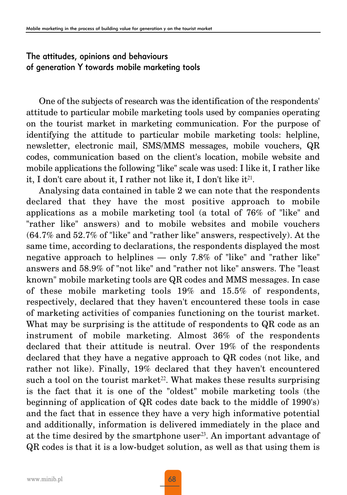#### The attitudes, opinions and behaviours of generation Y towards mobile marketing tools

One of the subjects of research was the identification of the respondents' attitude to particular mobile marketing tools used by companies operating on the tourist market in marketing communication. For the purpose of identifying the attitude to particular mobile marketing tools: helpline, newsletter, electronic mail, SMS/MMS messages, mobile vouchers, QR codes, communication based on the client's location, mobile website and mobile applications the following "like" scale was used: I like it, I rather like it, I don't care about it, I rather not like it, I don't like it<sup>21</sup>.

Analysing data contained in table 2 we can note that the respondents declared that they have the most positive approach to mobile applications as a mobile marketing tool (a total of 76% of "like" and "rather like" answers) and to mobile websites and mobile vouchers (64.7% and 52.7% of "like" and "rather like" answers, respectively). At the same time, according to declarations, the respondents displayed the most negative approach to helplines — only 7.8% of "like" and "rather like" answers and 58.9% of "not like" and "rather not like" answers. The "least known" mobile marketing tools are QR codes and MMS messages. In case of these mobile marketing tools 19% and 15.5% of respondents, respectively, declared that they haven't encountered these tools in case of marketing activities of companies functioning on the tourist market. What may be surprising is the attitude of respondents to QR code as an instrument of mobile marketing. Almost 36% of the respondents declared that their attitude is neutral. Over 19% of the respondents declared that they have a negative approach to QR codes (not like, and rather not like). Finally, 19% declared that they haven't encountered such a tool on the tourist market<sup>22</sup>. What makes these results surprising is the fact that it is one of the "oldest" mobile marketing tools (the beginning of application of QR codes date back to the middle of 1990's) and the fact that in essence they have a very high informative potential and additionally, information is delivered immediately in the place and at the time desired by the smartphone user<sup>23</sup>. An important advantage of QR codes is that it is a low-budget solution, as well as that using them is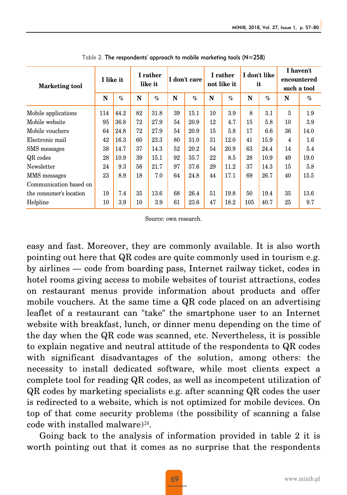| <b>Marketing tool</b>   | I like it |      | I rather<br>like it |      | I don't care |      | I rather<br>not like it |      | I don't like<br>it |      | I haven't<br>encountered<br>such a tool |      |
|-------------------------|-----------|------|---------------------|------|--------------|------|-------------------------|------|--------------------|------|-----------------------------------------|------|
|                         | N         | $\%$ | N                   | $\%$ | N            | $\%$ | N                       | $\%$ | N                  | $\%$ | N                                       | $\%$ |
| Mobile applications     | 114       | 44.2 | 82                  | 31.8 | 39           | 15.1 | 10                      | 3.9  | 8                  | 3.1  | 5                                       | 1.9  |
| Mobile website          | 95        | 36.8 | 72                  | 27.9 | 54           | 20.9 | 12                      | 4.7  | 15                 | 5.8  | 10                                      | 3.9  |
| Mobile vouchers         | 64        | 24.8 | 72                  | 27.9 | 54           | 20.9 | 15                      | 5.8  | 17                 | 6.6  | 36                                      | 14.0 |
| Electronic mail         | 42        | 16.3 | 60                  | 23.3 | 80           | 31.0 | 31                      | 12.0 | 41                 | 15.9 | 4                                       | 1.6  |
| SMS messages            | 38        | 14.7 | 37                  | 14.3 | 52           | 20.2 | 54                      | 20.9 | 63                 | 24.4 | 14                                      | 5.4  |
| QR codes                | 28        | 10.9 | 39                  | 15.1 | 92           | 35.7 | 22                      | 8.5  | 28                 | 10.9 | 49                                      | 19.0 |
| Newsletter              | 24        | 9.3  | 56                  | 21.7 | 97           | 37.6 | 29                      | 11.2 | 37                 | 14.3 | 15                                      | 5.8  |
| MMS messages            | 23        | 8.9  | 18                  | 7.0  | 64           | 24.8 | 44                      | 17.1 | 69                 | 26.7 | 40                                      | 15.5 |
| Communication based on  |           |      |                     |      |              |      |                         |      |                    |      |                                         |      |
| the consumer's location | 19        | 7.4  | 35                  | 13.6 | 68           | 26.4 | 51                      | 19.8 | 50                 | 19.4 | 35                                      | 13.6 |
| Helpline                | 10        | 3.9  | 10                  | 3.9  | 61           | 23.6 | 47                      | 18.2 | 105                | 40.7 | 25                                      | 9.7  |

Table 2. The respondents' approach to mobile marketing tools (N=258)

Source: own research.

easy and fast. Moreover, they are commonly available. It is also worth pointing out here that QR codes are quite commonly used in tourism e.g. by airlines — code from boarding pass, Internet railway ticket, codes in hotel rooms giving access to mobile websites of tourist attractions, codes on restaurant menus provide information about products and offer mobile vouchers. At the same time a QR code placed on an advertising leaflet of a restaurant can "take" the smartphone user to an Internet website with breakfast, lunch, or dinner menu depending on the time of the day when the QR code was scanned, etc. Nevertheless, it is possible to explain negative and neutral attitude of the respondents to QR codes with significant disadvantages of the solution, among others: the necessity to install dedicated software, while most clients expect a complete tool for reading QR codes, as well as incompetent utilization of QR codes by marketing specialists e.g. after scanning QR codes the user is redirected to a website, which is not optimized for mobile devices. On top of that come security problems (the possibility of scanning a false code with installed malware) $^{24}$ .

Going back to the analysis of information provided in table 2 it is worth pointing out that it comes as no surprise that the respondents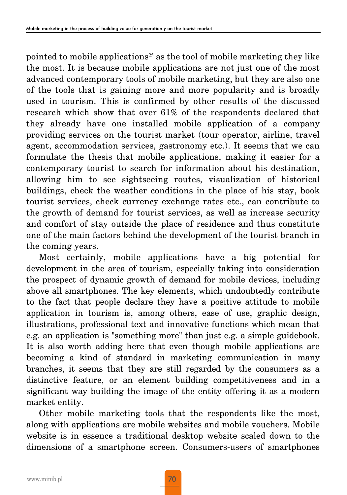pointed to mobile applications<sup>25</sup> as the tool of mobile marketing they like the most. It is because mobile applications are not just one of the most advanced contemporary tools of mobile marketing, but they are also one of the tools that is gaining more and more popularity and is broadly used in tourism. This is confirmed by other results of the discussed research which show that over 61% of the respondents declared that they already have one installed mobile application of a company providing services on the tourist market (tour operator, airline, travel agent, accommodation services, gastronomy etc.). It seems that we can formulate the thesis that mobile applications, making it easier for a contemporary tourist to search for information about his destination, allowing him to see sightseeing routes, visualization of historical buildings, check the weather conditions in the place of his stay, book tourist services, check currency exchange rates etc., can contribute to the growth of demand for tourist services, as well as increase security and comfort of stay outside the place of residence and thus constitute one of the main factors behind the development of the tourist branch in the coming years.

Most certainly, mobile applications have a big potential for development in the area of tourism, especially taking into consideration the prospect of dynamic growth of demand for mobile devices, including above all smartphones. The key elements, which undoubtedly contribute to the fact that people declare they have a positive attitude to mobile application in tourism is, among others, ease of use, graphic design, illustrations, professional text and innovative functions which mean that e.g. an application is "something more" than just e.g. a simple guidebook. It is also worth adding here that even though mobile applications are becoming a kind of standard in marketing communication in many branches, it seems that they are still regarded by the consumers as a distinctive feature, or an element building competitiveness and in a significant way building the image of the entity offering it as a modern market entity.

Other mobile marketing tools that the respondents like the most, along with applications are mobile websites and mobile vouchers. Mobile website is in essence a traditional desktop website scaled down to the dimensions of a smartphone screen. Consumers-users of smartphones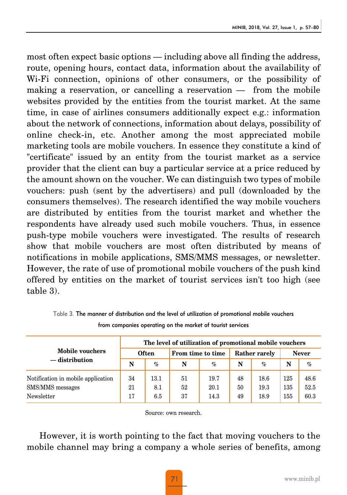most often expect basic options — including above all finding the address, route, opening hours, contact data, information about the availability of Wi-Fi connection, opinions of other consumers, or the possibility of making a reservation, or cancelling a reservation — from the mobile websites provided by the entities from the tourist market. At the same time, in case of airlines consumers additionally expect e.g.: information about the network of connections, information about delays, possibility of online check-in, etc. Another among the most appreciated mobile marketing tools are mobile vouchers. In essence they constitute a kind of "certificate" issued by an entity from the tourist market as a service provider that the client can buy a particular service at a price reduced by the amount shown on the voucher. We can distinguish two types of mobile vouchers: push (sent by the advertisers) and pull (downloaded by the consumers themselves). The research identified the way mobile vouchers are distributed by entities from the tourist market and whether the respondents have already used such mobile vouchers. Thus, in essence push-type mobile vouchers were investigated. The results of research show that mobile vouchers are most often distributed by means of notifications in mobile applications, SMS/MMS messages, or newsletter. However, the rate of use of promotional mobile vouchers of the push kind offered by entities on the market of tourist services isn't too high (see table 3).

|                                    | The level of utilization of promotional mobile vouchers |              |                   |      |    |               |              |      |  |  |  |  |
|------------------------------------|---------------------------------------------------------|--------------|-------------------|------|----|---------------|--------------|------|--|--|--|--|
| <b>Mobile vouchers</b>             |                                                         | <b>Often</b> | From time to time |      |    | Rather rarely | <b>Never</b> |      |  |  |  |  |
| $-$ distribution                   | N                                                       | $\%$         | N                 | $\%$ | N  | $\%$          | N            | $\%$ |  |  |  |  |
| Notification in mobile application | 34                                                      | 13.1         | 51                | 19.7 | 48 | 18.6          | 125          | 48.6 |  |  |  |  |
| SMS/MMS messages                   | 21                                                      | 8.1          | 52                | 20.1 | 50 | 19.3          | 135          | 52.5 |  |  |  |  |
| Newsletter                         | 17                                                      | 6.5          | 37                | 14.3 | 49 | 18.9          | 155          | 60.3 |  |  |  |  |

Table 3. The manner of distribution and the level of utilization of promotional mobile vouchers from companies operating on the market of tourist services

Source: own research.

However, it is worth pointing to the fact that moving vouchers to the mobile channel may bring a company a whole series of benefits, among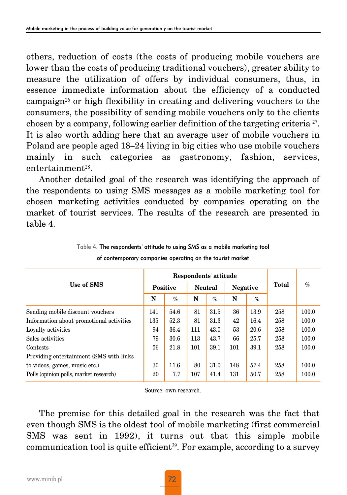others, reduction of costs (the costs of producing mobile vouchers are lower than the costs of producing traditional vouchers), greater ability to measure the utilization of offers by individual consumers, thus, in essence immediate information about the efficiency of a conducted campaign<sup>26</sup> or high flexibility in creating and delivering vouchers to the consumers, the possibility of sending mobile vouchers only to the clients chosen by a company, following earlier definition of the targeting criteria 27. It is also worth adding here that an average user of mobile vouchers in Poland are people aged 18–24 living in big cities who use mobile vouchers mainly in such categories as gastronomy, fashion, services, entertainment28.

Another detailed goal of the research was identifying the approach of the respondents to using SMS messages as a mobile marketing tool for chosen marketing activities conducted by companies operating on the market of tourist services. The results of the research are presented in table 4.

|                                          |     | Respondents' attitude |     |                |                 |      |       |       |  |
|------------------------------------------|-----|-----------------------|-----|----------------|-----------------|------|-------|-------|--|
| Use of SMS                               |     | <b>Positive</b>       |     | <b>Neutral</b> | <b>Negative</b> |      | Total | $\%$  |  |
|                                          | N   | $\%$                  | N   | $\%$           | N               | $\%$ |       |       |  |
| Sending mobile discount vouchers         | 141 | 54.6                  | 81  | 31.5           | 36              | 13.9 | 258   | 100.0 |  |
| Information about promotional activities | 135 | 52.3                  | 81  | 31.3           | 42              | 16.4 | 258   | 100.0 |  |
| Loyalty activities                       | 94  | 36.4                  | 111 | 43.0           | 53              | 20.6 | 258   | 100.0 |  |
| Sales activities                         | 79  | 30.6                  | 113 | 43.7           | 66              | 25.7 | 258   | 100.0 |  |
| Contests                                 | 56  | 21.8                  | 101 | 39.1           | 101             | 39.1 | 258   | 100.0 |  |
| Providing entertainment (SMS with links) |     |                       |     |                |                 |      |       |       |  |
| to videos, games, music etc.)            | 30  | 11.6                  | 80  | 31.0           | 148             | 57.4 | 258   | 100.0 |  |
| Polls (opinion polls, market research)   |     | 7.7                   | 107 | 41.4           | 131             | 50.7 | 258   | 100.0 |  |

Table 4. The respondents' attitude to using SMS as a mobile marketing tool of contemporary companies operating on the tourist market

Source: own research.

The premise for this detailed goal in the research was the fact that even though SMS is the oldest tool of mobile marketing (first commercial SMS was sent in 1992), it turns out that this simple mobile communication tool is quite efficient<sup>29</sup>. For example, according to a survey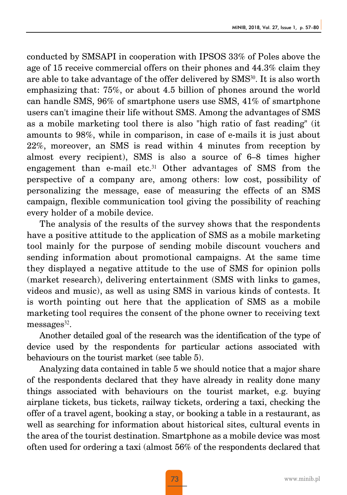conducted by SMSAPI in cooperation with IPSOS 33% of Poles above the age of 15 receive commercial offers on their phones and 44.3% claim they are able to take advantage of the offer delivered by  $\text{SMS}^{30}$ . It is also worth emphasizing that: 75%, or about 4.5 billion of phones around the world can handle SMS, 96% of smartphone users use SMS, 41% of smartphone users can't imagine their life without SMS. Among the advantages of SMS as a mobile marketing tool there is also "high ratio of fast reading" (it amounts to 98%, while in comparison, in case of e-mails it is just about 22%, moreover, an SMS is read within 4 minutes from reception by almost every recipient), SMS is also a source of 6–8 times higher engagement than e-mail etc. $31$  Other advantages of SMS from the perspective of a company are, among others: low cost, possibility of personalizing the message, ease of measuring the effects of an SMS campaign, flexible communication tool giving the possibility of reaching every holder of a mobile device.

The analysis of the results of the survey shows that the respondents have a positive attitude to the application of SMS as a mobile marketing tool mainly for the purpose of sending mobile discount vouchers and sending information about promotional campaigns. At the same time they displayed a negative attitude to the use of SMS for opinion polls (market research), delivering entertainment (SMS with links to games, videos and music), as well as using SMS in various kinds of contests. It is worth pointing out here that the application of SMS as a mobile marketing tool requires the consent of the phone owner to receiving text messages $32$ .

Another detailed goal of the research was the identification of the type of device used by the respondents for particular actions associated with behaviours on the tourist market (see table 5).

Analyzing data contained in table 5 we should notice that a major share of the respondents declared that they have already in reality done many things associated with behaviours on the tourist market, e.g. buying airplane tickets, bus tickets, railway tickets, ordering a taxi, checking the offer of a travel agent, booking a stay, or booking a table in a restaurant, as well as searching for information about historical sites, cultural events in the area of the tourist destination. Smartphone as a mobile device was most often used for ordering a taxi (almost 56% of the respondents declared that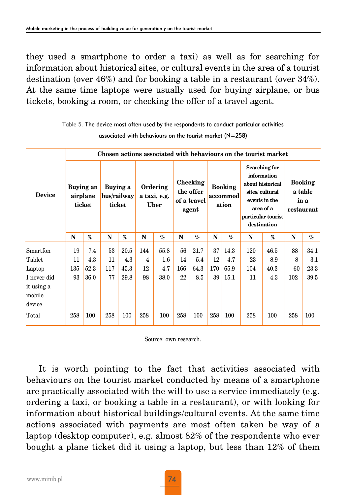they used a smartphone to order a taxi) as well as for searching for information about historical sites, or cultural events in the area of a tourist destination (over 46%) and for booking a table in a restaurant (over 34%). At the same time laptops were usually used for buying airplane, or bus tickets, booking a room, or checking the offer of a travel agent.

|               | Chosen actions associated with behaviours on the tourist market |                                                                      |     |                                         |     |                                               |     |                                     |     |                                                                                                                                       |     |                                                 |     |      |  |
|---------------|-----------------------------------------------------------------|----------------------------------------------------------------------|-----|-----------------------------------------|-----|-----------------------------------------------|-----|-------------------------------------|-----|---------------------------------------------------------------------------------------------------------------------------------------|-----|-------------------------------------------------|-----|------|--|
| <b>Device</b> |                                                                 | Buying an<br>Buying a<br>airplane<br>bus/railway<br>ticket<br>ticket |     | Ordering<br>a taxi, e.g.<br><b>Uber</b> |     | Checking<br>the offer<br>of a travel<br>agent |     | <b>Booking</b><br>accommod<br>ation |     | Searching for<br>information<br>about historical<br>sites/cultural<br>events in the<br>area of a<br>particular tourist<br>destination |     | <b>Booking</b><br>a table<br>in a<br>restaurant |     |      |  |
|               | N                                                               | $\%$                                                                 | N   | $\%$                                    | N   | $\%$                                          | N   | $\%$                                | N   | $\%$                                                                                                                                  | N   | $\%$                                            | N   | $\%$ |  |
| Smartfon      | 19                                                              | 7.4                                                                  | 53  | 20.5                                    | 144 | 55.8                                          | 56  | 21.7                                | 37  | 14.3                                                                                                                                  | 120 | 46.5                                            | 88  | 34.1 |  |
| Tablet        | 11                                                              | 4.3                                                                  | 11  | 4.3                                     | 4   | $1.6\,$                                       | 14  | 5.4                                 | 12  | 4.7                                                                                                                                   | 23  | 8.9                                             | 8   | 3.1  |  |
| Laptop        | 135                                                             | 52.3                                                                 | 117 | 45.3                                    | 12  | 4.7                                           | 166 | 64.3                                | 170 | 65.9                                                                                                                                  | 104 | 40.3                                            | 60  | 23.3 |  |
| I never did   | 93                                                              | 36.0                                                                 | 77  | 29.8                                    | 98  | 38.0                                          | 22  | 8.5                                 | 39  | 15.1                                                                                                                                  | 11  | 4.3                                             | 102 | 39.5 |  |
| it using a    |                                                                 |                                                                      |     |                                         |     |                                               |     |                                     |     |                                                                                                                                       |     |                                                 |     |      |  |
| mobile        |                                                                 |                                                                      |     |                                         |     |                                               |     |                                     |     |                                                                                                                                       |     |                                                 |     |      |  |
| device        |                                                                 |                                                                      |     |                                         |     |                                               |     |                                     |     |                                                                                                                                       |     |                                                 |     |      |  |
| Total         | 258                                                             | 100                                                                  | 258 | 100                                     | 258 | 100                                           | 258 | 100                                 | 258 | 100                                                                                                                                   | 258 | 100                                             | 258 | 100  |  |

Table 5. The device most often used by the respondents to conduct particular activities associated with behaviours on the tourist market (N=258)

Source: own research.

It is worth pointing to the fact that activities associated with behaviours on the tourist market conducted by means of a smartphone are practically associated with the will to use a service immediately (e.g. ordering a taxi, or booking a table in a restaurant), or with looking for information about historical buildings/cultural events. At the same time actions associated with payments are most often taken be way of a laptop (desktop computer), e.g. almost 82% of the respondents who ever bought a plane ticket did it using a laptop, but less than 12% of them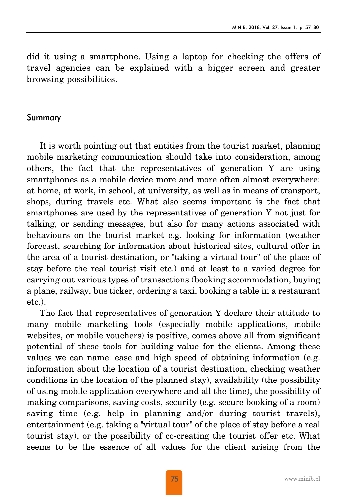did it using a smartphone. Using a laptop for checking the offers of travel agencies can be explained with a bigger screen and greater browsing possibilities.

#### Summary

It is worth pointing out that entities from the tourist market, planning mobile marketing communication should take into consideration, among others, the fact that the representatives of generation Y are using smartphones as a mobile device more and more often almost everywhere: at home, at work, in school, at university, as well as in means of transport, shops, during travels etc. What also seems important is the fact that smartphones are used by the representatives of generation Y not just for talking, or sending messages, but also for many actions associated with behaviours on the tourist market e.g. looking for information (weather forecast, searching for information about historical sites, cultural offer in the area of a tourist destination, or "taking a virtual tour" of the place of stay before the real tourist visit etc.) and at least to a varied degree for carrying out various types of transactions (booking accommodation, buying a plane, railway, bus ticker, ordering a taxi, booking a table in a restaurant etc.).

The fact that representatives of generation Y declare their attitude to many mobile marketing tools (especially mobile applications, mobile websites, or mobile vouchers) is positive, comes above all from significant potential of these tools for building value for the clients. Among these values we can name: ease and high speed of obtaining information (e.g. information about the location of a tourist destination, checking weather conditions in the location of the planned stay), availability (the possibility of using mobile application everywhere and all the time), the possibility of making comparisons, saving costs, security (e.g. secure booking of a room) saving time (e.g. help in planning and/or during tourist travels), entertainment (e.g. taking a "virtual tour" of the place of stay before a real tourist stay), or the possibility of co-creating the tourist offer etc. What seems to be the essence of all values for the client arising from the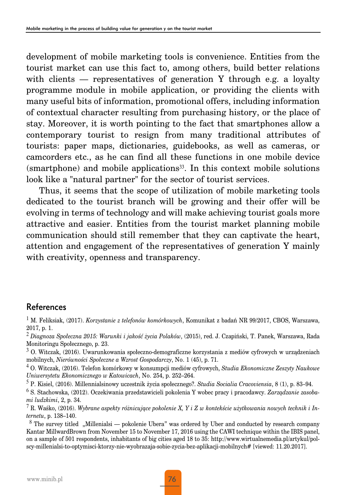development of mobile marketing tools is convenience. Entities from the tourist market can use this fact to, among others, build better relations with clients — representatives of generation Y through e.g. a loyalty programme module in mobile application, or providing the clients with many useful bits of information, promotional offers, including information of contextual character resulting from purchasing history, or the place of stay. Moreover, it is worth pointing to the fact that smartphones allow a contemporary tourist to resign from many traditional attributes of tourists: paper maps, dictionaries, guidebooks, as well as cameras, or camcorders etc., as he can find all these functions in one mobile device  $(smartphone)$  and mobile applications<sup>33</sup>. In this context mobile solutions look like a "natural partner" for the sector of tourist services.

Thus, it seems that the scope of utilization of mobile marketing tools dedicated to the tourist branch will be growing and their offer will be evolving in terms of technology and will make achieving tourist goals more attractive and easier. Entities from the tourist market planning mobile communication should still remember that they can captivate the heart, attention and engagement of the representatives of generation Y mainly with creativity, openness and transparency.

#### References

<sup>1</sup> M. Feliksiak, (2017). *Korzystanie z telefonów komórkowych*, Komunikat z badań NR 99/2017, CBOS, Warszawa, 2017, p. 1.

<sup>2</sup> *Diagnoza Społeczna 2015: Warunki i jakość życia Polaków*, (2015), red. J. Czapiński, T. Panek, Warszawa, Rada Monitoringu Społecznego, p. 23.

<sup>3</sup> O. Witczak, (2016). Uwarunkowania społeczno-demograficzne korzystania z mediów cyfrowych w urządzeniach mobilnych, *Nierówności Społeczne a Wzrost Gospodarczy*, No. 1 (45), p. 71.

<sup>4</sup> O. Witczak, (2016). Telefon komórkowy w konsumpcji mediów cyfrowych, *Studia Ekonomiczne Zeszyty Naukowe Uniwersytetu Ekonomicznego w Katowicach*, No. 254, p. 252–264.

<sup>5</sup> P. Kisiel, (2016). Millennialsinowy uczestnik życia społecznego?. *Studia Socialia Cracoviensia*, 8 (1), p. 83–94.

<sup>6</sup> S. Stachowska, (2012). Oczekiwania przedstawicieli pokolenia Y wobec pracy i pracodawcy. *Zarządzanie zasobami ludzkimi*, 2, p. 34.

<sup>7</sup> R. Waśko, (2016). *Wybrane aspekty różnicujące pokolenie X, Y i Z w kontekście użytkowania nowych technik i Internetu*, p. 138–140.

 $8$  The survey titled ... Millenialsi — pokolenie Ubera" was ordered by Uber and conducted by research company Kantar MillwardBrown from November 15 to November 17, 2016 using the CAWI technique within the IBIS panel, on a sample of 501 respondents, inhabitants of big cities aged 18 to 35: http://www.wirtualnemedia.pl/artykul/polscy-millenialsi-to-optymisci-ktorzy-nie-wyobrazaja-sobie-zycia-bez-aplikacji-mobilnych# [viewed: 11.20.2017].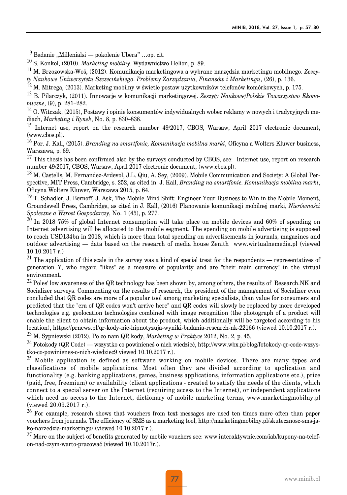$9$  Badanie "Millenialsi — pokolenie Ubera" …op. cit.

<sup>10</sup> S. Konkol, (2010). *Marketing mobilny*. Wydawnictwo Helion, p. 89.

<sup>11</sup> M. Brzozowska-Woś, (2012). Komunikacja marketingowa a wybrane narzędzia marketingu mobilnego. *Zeszyty Naukowe Uniwersytetu Szczecińskiego*. *Problemy Zarządzania, Finansów i Marketingu*, (26), p. 136.

<sup>12</sup> M. Mitrega, (2013). Marketing mobilny w świetle postaw użytkowników telefonów komórkowych, p. 175.

<sup>13</sup> B. Pilarczyk, (2011). Innowacje w komunikacji marketingowej. *Zeszyty Naukowe/Polskie Towarzystwo Ekonomiczne*, (9), p. 281–282.

<sup>14</sup> O. Witczak, (2015), Postawy i opinie konsumentów indywidualnych wobec reklamy w nowych i tradycyjnych mediach, *Marketing i Rynek*, No. 8, p. 830–838.

<sup>15</sup> Internet use, report on the research number 49/2017, CBOS, Warsaw, April 2017 electronic document, (www.cbos.pl).

<sup>16</sup> Por. J. Kall, (2015). *Branding na smartfonie, Komunikacja mobilna marki*, Oficyna a Wolters Kluwer business, Warszawa, p. 69.

 $17$  This thesis has been confirmed also by the surveys conducted by CBOS, see: Internet use, report on research number 49/2017, CBOS, Warsaw, April 2017 electronic document, (www.cbos.pl).

<sup>18</sup> M. Castells, M. Fernandez-Ardevol, J.L. Qiu, A. Sey, (2009). Mobile Communication and Society: A Global Perspective, MIT Press, Cambridge, s. 252, as cited in: J. Kall, *Branding na smartfonie. Komunikacja mobilna marki*, Oficyna Wolters Kluwer, Warszawa 2015, p. 64.

 $19$  T. Schadler, J. Bernoff, J. Ask, The Mobile Mind Shift: Engineer Your Business to Win in the Mobile Moment, Groundswell Press, Cambridge, as cited in J. Kall, (2016) Planowanie komunikacji mobilnej marki, *Nierówności Społeczne a Wzrost Gospodarczy*, No. 1 (45), p. 277.

<sup>20</sup> In 2018 75% of global Internet consumption will take place on mobile devices and 60% of spending on Internet advertising will be allocated to the mobile segment. The spending on mobile advertising is supposed to reach USD134bn in 2018, which is more than total spending on advertisements in journals, magazines and outdoor advertising — data based on the research of media house Zenith www.wirtualnemedia.pl (viewed 10.10.2017 r.)

 $21$  The application of this scale in the survey was a kind of special treat for the respondents — representatives of generation Y, who regard "likes" as a measure of popularity and are "their main currency" in the virtual environment.

 $^{22}$  Poles' low awareness of the QR technology has been shown by, among others, the results of Research.NK and Socializer surveys. Commenting on the results of research, the president of the management of Socializer even concluded that QR codes are more of a popular tool among marketing specialists, than value for consumers and predicted that the "era of QR codes won't arrive here" and QR codes will slowly be replaced by more developed technologies e.g. geolocation technologies combined with image recognition (the photograph of a product will enable the client to obtain information about the product, which additionally will be targeted according to his location), https://prnews.pl/qr-kody-nie-hipnotyzuja-wyniki-badania-research-nk-22166 (viewed 10.10.2017 r.).

<sup>23</sup> M. Sypniewski (2012). Po co nam QR kody, *Marketing w Praktyce* 2012, No. 2, p. 45.

<sup>24</sup> Fotokody (QR Code) — wszystko co powinieneś o nich wiedzieć, http://www.wbx.pl/blog/fotokody-qr-code-wszystko-co-powinienes-o-nich-wiedziec9 viewed 10.10.2017 r.).

 $25$  Mobile application is defined as software working on mobile devices. There are many types and classifications of mobile applications. Most often they are divided according to application and functionality (e.g. banking applications, games, business applications, information applications etc.), price (paid, free, freemium) or availability (client applications - created to satisfy the needs of the clients, which connect to a special server on the Internet (requiring access to the Internet), or independent applications which need no access to the Internet, dictionary of mobile marketing terms, www.marketingmobilny.pl (viewed 20.09.2017 r.).

<sup>26</sup> For example, research shows that vouchers from text messages are used ten times more often than paper vouchers from journals. The efficiency of SMS as a marketing tool, http://marketingmobilny.pl/skutecznosc-sms-jako-narzedzia-marketingu/ (viewed 10.10.2017 r.).

<sup>27</sup> More on the subject of benefits generated by mobile vouchers see: www.interaktywnie.com/iab/kupony-na-telefon-nad-czym-warto-pracować (viewed 10.10.2017r.).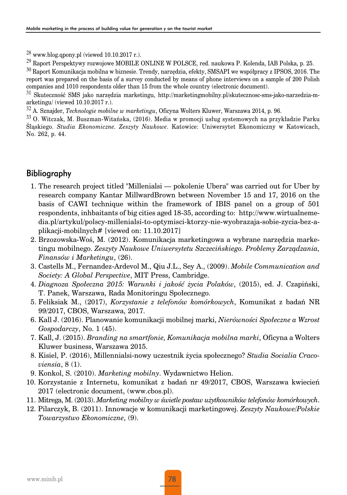$^{28}$  www.blog.qpony.pl (viewed 10.10.2017 r.).

<sup>29</sup> Raport Perspektywy rozwojowe MOBILE ONLINE W POLSCE, red. naukowa P. Kolenda, IAB Polska, p. 25.

<sup>30</sup> Raport Komunikacja mobilna w biznesie. Trendy, narzędzia, efekty, SMSAPI we współpracy z IPSOS, 2016. The report was prepared on the basis of a survey conducted by means of phone interviews on a sample of 200 Polish companies and 1010 respondents older than 15 from the whole country (electronic document).

<sup>31</sup> Skuteczność SMS jako narzędzia marketingu, http://marketingmobilny.pl/skutecznosc-sms-jako-narzedzia-marketingu/ (viewed 10.10.2017 r.).

<sup>32</sup> A. Sznajder, *Technologie mobilne w marketingu*, Oficyna Wolters Kluwer, Warszawa 2014, p. 96.

<sup>33</sup> O. Witczak, M. Buszman-Witańska, (2016). Media w promocji usług systemowych na przykładzie Parku Śląskiego. *Studia Ekonomiczne. Zeszyty Naukowe*. Katowice: Uniwersytet Ekonomiczny w Katowicach, No. 262, p. 44.

### Bibliography

- 1. The research project titled "Millenialsi pokolenie Ubera" was carried out for Uber by research company Kantar MillwardBrown between November 15 and 17, 2016 on the basis of CAWI technique within the framework of IBIS panel on a group of 501 respondents, inhbaitants of big cities aged 18-35, according to: http://www.wirtualnemedia.pl/artykul/polscy-millenialsi-to-optymisci-ktorzy-nie-wyobrazaja-sobie-zycia-bez-aplikacji-mobilnych# [viewed on: 11.10.2017]
- 2. Brzozowska-Woś, M. (2012). Komunikacja marketingowa a wybrane narzędzia marketingu mobilnego. *Zeszyty Naukowe Uniwersytetu Szczecińskiego. Problemy Zarządzania, Finansów i Marketingu*, (26).
- 3. Castells M., Fernandez-Ardevol M., Qiu J.L., Sey A., (2009). *Mobile Communication and Society: A Global Perspective*, MIT Press, Cambridge.
- 4. *Diagnoza Społeczna 2015: Warunki i jakość życia Polaków*, (2015), ed. J. Czapiński, T. Panek, Warszawa, Rada Monitoringu Społecznego.
- 5. Feliksiak M., (2017), *Korzystanie z telefonów komórkowych*, Komunikat z badań NR 99/2017, CBOS, Warszawa, 2017.
- 6. Kall J. (2016). Planowanie komunikacji mobilnej marki, *Nierówności Społeczne a Wzrost Gospodarczy*, No. 1 (45).
- 7. Kall, J. (2015). *Branding na smartfonie, Komunikacja mobilna marki*, Oficyna a Wolters Kluwer business, Warszawa 2015.
- 8. Kisiel, P. (2016), Millennialsi-nowy uczestnik życia społecznego? *Studia Socialia Cracoviensia*, 8 (1).
- 9. Konkol, S. (2010). *Marketing mobilny*. Wydawnictwo Helion.
- 10. Korzystanie z Internetu, komunikat z badań nr 49/2017, CBOS, Warszawa kwiecień 2017 (electronic document, (www.cbos.pl).
- 11. Mitrega, M. (2013). *Marketing mobilny w świetle postaw użytkowników telefonów komórkowych*.
- 12. Pilarczyk, B. (2011). Innowacje w komunikacji marketingowej. *Zeszyty Naukowe/Polskie Towarzystwo Ekonomiczne*, (9).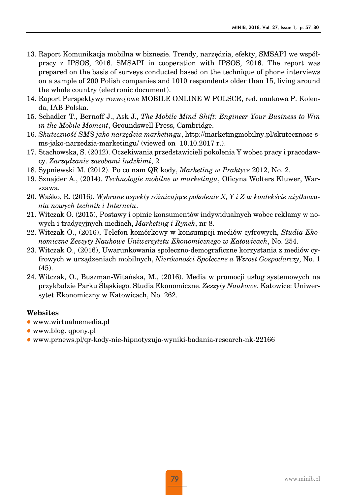- 13. Raport Komunikacja mobilna w biznesie. Trendy, narzędzia, efekty, SMSAPI we współpracy z IPSOS, 2016. SMSAPI in cooperation with IPSOS, 2016. The report was prepared on the basis of surveys conducted based on the technique of phone interviews on a sample of 200 Polish companies and 1010 respondents older than 15, living around the whole country (electronic document).
- 14. Raport Perspektywy rozwojowe MOBILE ONLINE W POLSCE, red. naukowa P. Kolenda, IAB Polska.
- 15. Schadler T., Bernoff J., Ask J., *The Mobile Mind Shift: Engineer Your Business to Win in the Mobile Moment*, Groundswell Press, Cambridge.
- 16. *Skuteczność SMS jako narzędzia marketingu*, http://marketingmobilny.pl/skutecznosc-sms-jako-narzedzia-marketingu/ (viewed on 10.10.2017 r.).
- 17. Stachowska, S. (2012). Oczekiwania przedstawicieli pokolenia Y wobec pracy i pracodawcy. *Zarządzanie zasobami ludzkimi*, 2.
- 18. Sypniewski M. (2012). Po co nam QR kody, *Marketing w Praktyce* 2012, No. 2.
- 19. Sznajder A., (2014). *Technologie mobilne w marketingu*, Oficyna Wolters Kluwer, Warszawa.
- 20. Waśko, R. (2016). *Wybrane aspekty różnicujące pokolenie X, Y i Z w kontekście użytkowania nowych technik i Internetu*.
- 21. Witczak O. (2015), Postawy i opinie konsumentów indywidualnych wobec reklamy w nowych i tradycyjnych mediach, *Marketing i Rynek*, nr 8.
- 22. Witczak O., (2016), Telefon komórkowy w konsumpcji mediów cyfrowych, *Studia Ekonomiczne Zeszyty Naukowe Uniwersytetu Ekonomicznego w Katowicach*, No. 254.
- 23. Witczak O., (2016), Uwarunkowania społeczno-demograficzne korzystania z mediów cyfrowych w urządzeniach mobilnych, *Nierówności Społeczne a Wzrost Gospodarczy*, No. 1 (45).
- 24. Witczak, O., Buszman-Witańska, M., (2016). Media w promocji usług systemowych na przykładzie Parku Śląskiego. Studia Ekonomiczne. *Zeszyty Naukowe*. Katowice: Uniwersytet Ekonomiczny w Katowicach, No. 262.

#### **Websites**

- $\bullet$  www.wirtualnemedia.pl
- $\bullet$  www.blog. qpony.pl
- $\bullet$  www.prnews.pl/qr-kody-nie-hipnotyzuja-wyniki-badania-research-nk-22166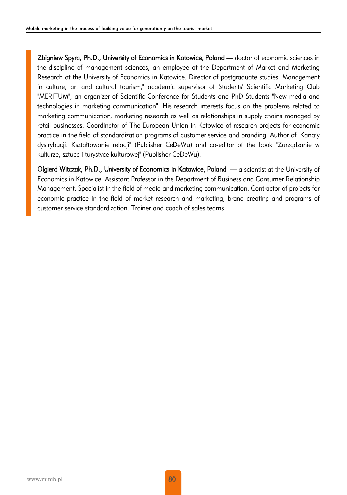Zbigniew Spyra, Ph.D., University of Economics in Katowice, Poland — doctor of economic sciences in the discipline of management sciences, an employee at the Department of Market and Marketing Research at the University of Economics in Katowice. Director of postgraduate studies "Management in culture, art and cultural tourism," academic supervisor of Students' Scientific Marketing Club "MERITUM", an organizer of Scientific Conference for Students and PhD Students "New media and technologies in marketing communication". His research interests focus on the problems related to marketing communication, marketing research as well as relationships in supply chains managed by retail businesses. Coordinator of The European Union in Katowice of research projects for economic practice in the field of standardization programs of customer service and branding. Author of "Kanały dystrybucji. Kształtowanie relacji" (Publisher CeDeWu) and co-editor of the book "Zarządzanie w kulturze, sztuce i turystyce kulturowej" (Publisher CeDeWu).

Olgierd Witczak, Ph.D., University of Economics in Katowice, Poland — a scientist at the University of Economics in Katowice. Assistant Professor in the Department of Business and Consumer Relationship Management. Specialist in the field of media and marketing communication. Contractor of projects for economic practice in the field of market research and marketing, brand creating and programs of customer service standardization. Trainer and coach of sales teams.